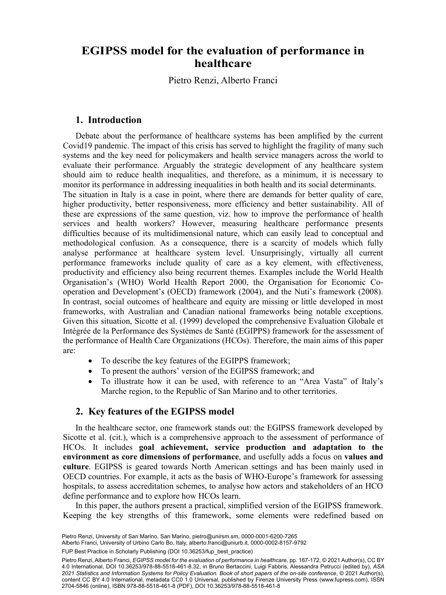# explustion Pietro Renziab, Alberto Franciab **EGIPSS model for the evaluation of performance in healthcare**

Pietro Renzi, Alberto Franci

# 1. Introduction

Debate about the performance of healthcare systems has been amplified by the current Covid19 pandemic. The impact of this crisis has served to highlight the fragility of many such systems and the key need for policymakers and health service managers across the world to evaluate their performance. Arguably the strategic development of any healthcare system should aim to reduce health inequalities, and therefore, as a minimum, it is necessary to monitor its performance in addressing inequalities in both health and its social determinants. The situation in Italy is a case in point, where there are demands for better quality of care,

higher productivity, better responsiveness, more efficiency and better sustainability. All of these are expressions of the same question, viz. how to improve the performance of health services and health workers? However, measuring healthcare performance presents difficulties because of its multidimensional nature, which can easily lead to conceptual and methodological confusion. As a consequence, there is a scarcity of models which fully analyse performance at healthcare system level. Unsurprisingly, virtually all current performance frameworks include quality of care as a key element, with effectiveness, productivity and efficiency also being recurrent themes. Examples include the World Health Organisation's (WHO) World Health Report 2000, the Organisation for Economic Cooperation and Development's (OECD) framework (2004), and the Nuti's framework (2008). In contrast, social outcomes of healthcare and equity are missing or little developed in most frameworks, with Australian and Canadian national frameworks being notable exceptions. Given this situation, Sicotte et al. (1999) developed the comprehensive Evaluation Globale et Intégrée de la Performance des Systèmes de Santé (EGIPPS) framework for the assessment of the performance of Health Care Organizations (HCOs). Therefore, the main aims of this paper are:

- To describe the key features of the EGIPPS framework;
- To present the authors' version of the EGIPSS framework; and
- To illustrate how it can be used, with reference to an "Area Vasta" of Italy's Marche region, to the Republic of San Marino and to other territories.

# 2. Key features of the EGIPSS model

In the healthcare sector, one framework stands out: the EGIPSS framework developed by Sicotte et al. (cit.), which is a comprehensive approach to the assessment of performance of HCOs. It includes goal achievement, service production and adaptation to the environment as core dimensions of performance, and usefully adds a focus on values and culture. EGIPSS is geared towards North American settings and has been mainly used in OECD countries. For example, it acts as the basis of WHO-Europe's framework for assessing hospitals, to assess accreditation schemes, to analyse how actors and stakeholders of an HCO define performance and to explore how HCOs learn.

In this paper, the authors present a practical, simplified version of the EGIPSS framework. Keeping the key strengths of this framework, some elements were redefined based on

Pietro Renzi, University of San Marino, San Marino, [pietro@unirsm.sm](mailto:pietro@unirsm.sm), [0000-0001-6200-7265](https://orcid.org/0000-0001-6200-7265)

Alberto Franci, University of Urbino Carlo Bo, Italy, [alberto.franci@uniurb.it,](mailto:alberto.franci@uniurb.it) [0000-0002-8157-9792](https://orcid.org/0000-0002-8157-9792)

<sup>153</sup> FUP Best Practice in Scholarly Publishing (DOI [10.36253/fup\\_best\\_practice](https://doi.org/10.36253/fup_best_practice))

Pietro Renzi, Alberto Franci, *EGIPSS model for the evaluation of performance in healthcare*, pp. 167-172, © 2021 Author(s), [CC BY](http://creativecommons.org/licenses/by/4.0/legalcode) [4.0 International](http://creativecommons.org/licenses/by/4.0/legalcode), DOI [10.36253/978-88-5518-461-8.32](https://doi.org/10.36253/978-88-5518-461-8.32), in Bruno Bertaccini, Luigi Fabbris, Alessandra Petrucci (edited by), *ASA 2021 Statistics and Information Systems for Policy Evaluation. Book of short papers of the on-site conference*, © 2021 Author(s), content [CC BY 4.0 International,](http://creativecommons.org/licenses/by/4.0/legalcode) metadata [CC0 1.0 Universal](https://creativecommons.org/publicdomain/zero/1.0/legalcode), published by Firenze University Press [\(www.fupress.com](http://www.fupress.com)), ISSN 2704-5846 (online), ISBN 978-88-5518-461-8 (PDF), DOI [10.36253/978-88-5518-461-8](https://doi.org/10.36253/978-88-5518-461-8)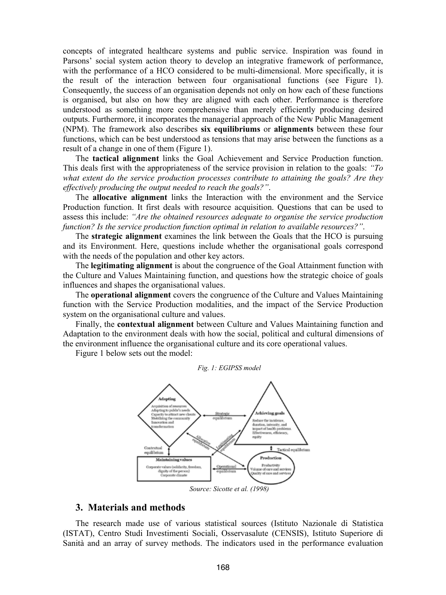concepts of integrated healthcare systems and public service. Inspiration was found in Parsons' social system action theory to develop an integrative framework of performance, with the performance of a HCO considered to be multi-dimensional. More specifically, it is the result of the interaction between four organisational functions (see Figure 1). Consequently, the success of an organisation depends not only on how each of these functions is organised, but also on how they are aligned with each other. Performance is therefore understood as something more comprehensive than merely efficiently producing desired outputs. Furthermore, it incorporates the managerial approach of the New Public Management (NPM). The framework also describes six equilibriums or alignments between these four functions, which can be best understood as tensions that may arise between the functions as a result of a change in one of them (Figure 1).

The tactical alignment links the Goal Achievement and Service Production function. This deals first with the appropriateness of the service provision in relation to the goals: "To what extent do the service production processes contribute to attaining the goals? Are they effectively producing the output needed to reach the goals?".

The allocative alignment links the Interaction with the environment and the Service Production function. It first deals with resource acquisition. Questions that can be used to assess this include: "Are the obtained resources adequate to organise the service production function? Is the service production function optimal in relation to available resources?".

The strategic alignment examines the link between the Goals that the HCO is pursuing and its Environment. Here, questions include whether the organisational goals correspond with the needs of the population and other key actors.

The **legitimating alignment** is about the congruence of the Goal Attainment function with the Culture and Values Maintaining function, and questions how the strategic choice of goals influences and shapes the organisational values.

The operational alignment covers the congruence of the Culture and Values Maintaining function with the Service Production modalities, and the impact of the Service Production system on the organisational culture and values.

Finally, the contextual alignment between Culture and Values Maintaining function and Adaptation to the environment deals with how the social, political and cultural dimensions of the environment influence the organisational culture and its core operational values.

Figure 1 below sets out the model:



Source: Sicotte et al. (1998)

#### 3. Materials and methods

The research made use of various statistical sources (Istituto Nazionale di Statistica (ISTAT), Centro Studi Investimenti Sociali, Osservasalute (CENSIS), Istituto Superiore di Sanità and an array of survey methods. The indicators used in the performance evaluation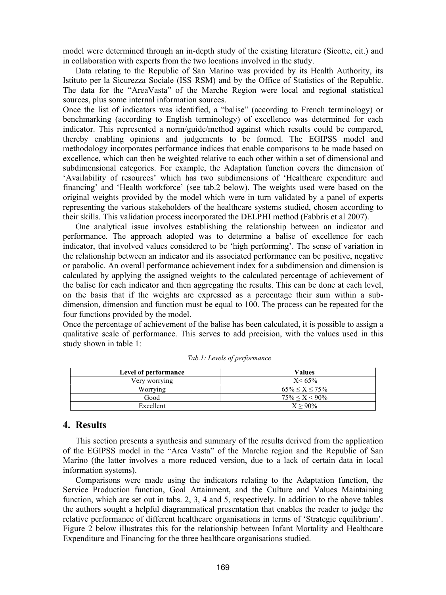model were determined through an in-depth study of the existing literature (Sicotte, cit.) and in collaboration with experts from the two locations involved in the study.

Data relating to the Republic of San Marino was provided by its Health Authority, its Istituto per la Sicurezza Sociale (ISS RSM) and by the Office of Statistics of the Republic. The data for the "AreaVasta" of the Marche Region were local and regional statistical sources, plus some internal information sources.

Once the list of indicators was identified, a "balise" (according to French terminology) or benchmarking (according to English terminology) of excellence was determined for each indicator. This represented a norm/guide/method against which results could be compared, thereby enabling opinions and judgements to be formed. The EGIPSS model and methodology incorporates performance indices that enable comparisons to be made based on excellence, which can then be weighted relative to each other within a set of dimensional and subdimensional categories. For example, the Adaptation function covers the dimension of 'Availability of resources' which has two subdimensions of 'Healthcare expenditure and financing' and 'Health workforce' (see tab.2 below). The weights used were based on the original weights provided by the model which were in turn validated by a panel of experts representing the various stakeholders of the healthcare systems studied, chosen according to their skills. This validation process incorporated the DELPHI method (Fabbris et al 2007).

One analytical issue involves establishing the relationship between an indicator and performance. The approach adopted was to determine a balise of excellence for each indicator, that involved values considered to be 'high performing'. The sense of variation in the relationship between an indicator and its associated performance can be positive, negative or parabolic. An overall performance achievement index for a subdimension and dimension is calculated by applying the assigned weights to the calculated percentage of achievement of the balise for each indicator and then aggregating the results. This can be done at each level, on the basis that if the weights are expressed as a percentage their sum within a subdimension, dimension and function must be equal to 100. The process can be repeated for the four functions provided by the model.

Once the percentage of achievement of the balise has been calculated, it is possible to assign a qualitative scale of performance. This serves to add precision, with the values used in this study shown in table 1:

| Level of performance | Values                |
|----------------------|-----------------------|
| Very worrying        | $X < 65\%$            |
| Worrving             | $65\% \le X \le 75\%$ |
| Good                 | $75\% < X < 90\%$     |
| Excellent            | $X > 90\%$            |

Tab.1: Levels of performance

### 4. Results

This section presents a synthesis and summary of the results derived from the application of the EGIPSS model in the "Area Vasta" of the Marche region and the Republic of San Marino (the latter involves a more reduced version, due to a lack of certain data in local information systems).

Comparisons were made using the indicators relating to the Adaptation function, the Service Production function, Goal Attainment, and the Culture and Values Maintaining function, which are set out in tabs. 2, 3, 4 and 5, respectively. In addition to the above tables the authors sought a helpful diagrammatical presentation that enables the reader to judge the relative performance of different healthcare organisations in terms of 'Strategic equilibrium'. Figure 2 below illustrates this for the relationship between Infant Mortality and Healthcare Expenditure and Financing for the three healthcare organisations studied.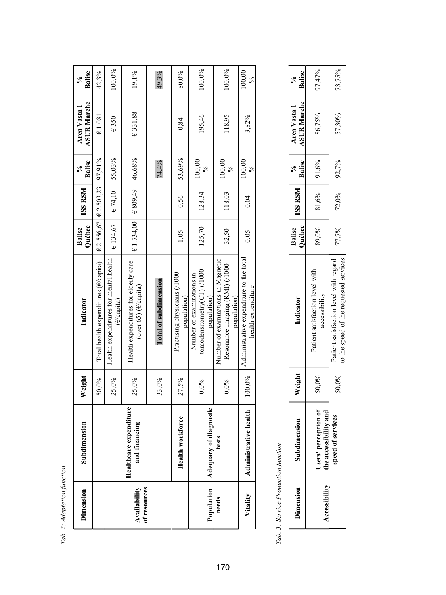| $\ddot{\phantom{0}}$<br>allen<br>j |
|------------------------------------|
| č<br>$\ddot{\phantom{a}}$<br>í     |
| i                                  |
| Гnh<br>ά<br>ï                      |

| Dimension                    | $\overline{\mathbf{a}}$<br>Subdimensi        | Weight  | Indicator                                                                           | Québec<br>Balise                   | <b>ISS RSM</b>                      | Balise<br>న్ | <b>ASUR Marche</b><br>Area Vasta 1 | Balise<br>℅ |
|------------------------------|----------------------------------------------|---------|-------------------------------------------------------------------------------------|------------------------------------|-------------------------------------|--------------|------------------------------------|-------------|
|                              |                                              | 50,0%   | Total health expenditures (E/capita)                                                |                                    | $E$ 2.556,67 $E$ 2.503,23 $97,91\%$ |              | $\epsilon$ 1.081                   | 42,3%       |
|                              |                                              | 25,0%   | Health expenditures for mental health<br>$(\epsilon$ /capita)                       | €134,67                            | $E$ 74,10                           | 55,03%       | €350                               | 100,0%      |
| of resources<br>Availability | Healthcare expenditure<br>مع<br>and financin | 25,0%   | Health expenditures for elderly care<br>(over 65) (E/capita)                        | $\in$ 1.734,00 $\mid$ $\in$ 809,49 |                                     | 46,68%       | €331,88                            | 19,1%       |
|                              |                                              | 33,0%   | Total of subdimension                                                               |                                    |                                     | 74,4%        |                                    | 49,3%       |
|                              | Health workforce                             | 27,5%   | Practising physicians (/1000<br>population)                                         | 1,05                               | 0,56                                | 53,69%       | 0,84                               | 80,0%       |
| Population                   | Adequacy of diagnostic                       | $0.0\%$ | tomodensitometry(CT) (/1000<br>Number of examinations in<br>population)             | 125,70                             | 128,34                              | 100,00<br>నం | 195,46                             | 100,0%      |
| needs                        | tests                                        | $0.0\%$ | Number of examinations in Magnetic<br>Resonance Imaging (RMI) (/1000<br>population) | 32,50                              | 118,03                              | 100,00       | 118.95                             | 100,0%      |
| Vitality                     | health<br><b>Administrative</b>              | 100,0%  | Administrative expenditure to the total<br>health expenditure                       | 0,05                               | 0,04                                | 100,00<br>⊱  | 3,82%                              | 100,00<br>℅ |

Tab. 3: Service Production function Tab. 3: Service Production function

| imension             | subdimensi                                                   | Veight | Indicator                                                                        | Balise   ISS RSM  <br>Québec |             | Balise<br>ి< | ASUR Marche   Balise<br>Area Vasta 1 |        |
|----------------------|--------------------------------------------------------------|--------|----------------------------------------------------------------------------------|------------------------------|-------------|--------------|--------------------------------------|--------|
| <b>Accessibility</b> | $\frac{61}{10}$<br>and<br>Jsers' percepti<br>he accessibilit | 50,0%  | Patient satisfaction level with<br>accessibility                                 | 89,0%                        | 81,6%       | $ 91,6\%$    | 86,75%                               | 97,47% |
|                      | speed of services                                            | 50,0%  | to the speed of the requested services<br>Patient satisfaction level with regard | 77,7%                        | 72,0% 92,7% |              | 57,30%                               | 73,75% |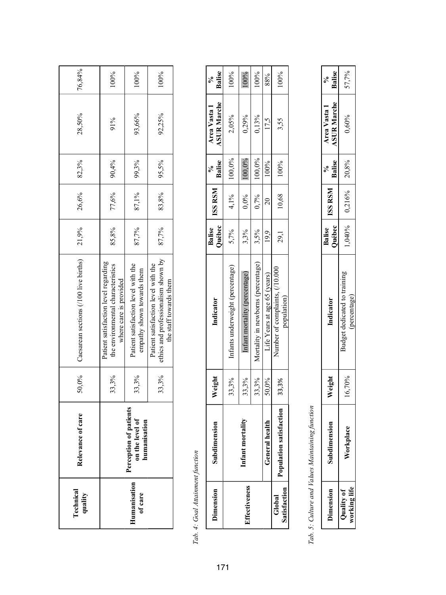| Technical<br>quality    | care<br>Relevance of                                                                              | 50,0% | Caesarean sections (/100 live births)                                                                | 21,9% | 26,6%         | 82,3% | 28,50% | 76,84% |
|-------------------------|---------------------------------------------------------------------------------------------------|-------|------------------------------------------------------------------------------------------------------|-------|---------------|-------|--------|--------|
|                         |                                                                                                   | 33,3% | Patient satisfaction level regarding<br>the environmental characteristics<br>where care is provided  | 85,8% | 77,6%         | 90,4% | 91%    | 100%   |
| Humanisation<br>of care | atients<br><sup>t</sup><br>$\bar{\mathbf{s}}$<br>Perception of pa<br>on the level<br>humanisatio. | 33,3% | Patient satisfaction level with the<br>empathy shown towards them                                    | 87,7% | 87,1%         | 99,3% | 93,66% | 100%   |
|                         |                                                                                                   | 33,3% | ethics and professionalism shown by<br>Patient satisfaction level with the<br>the staff towards them | 87,7% | 83,8%   95,5% |       | 92,25% | 100%   |

# Tab. 4: Goal Attainment function Tab. 4: Goal Attainment function

| Dimension              | Subdimensio             | Weight | Indicator                                     | Balise<br>Québec | ISS RSM        | $\begin{array}{c} \n\sqrt[3]{6} \\ \end{array}$<br>Balise | <b>ASUR Marche</b><br>Area Vasta 1 | <b>Balise</b> |
|------------------------|-------------------------|--------|-----------------------------------------------|------------------|----------------|-----------------------------------------------------------|------------------------------------|---------------|
|                        |                         | 33,3%  | Infants underweight (percentage)              | 5,7%             | $4,1\%$        | 100,0%                                                    | 2,05%                              | 100%          |
| <b>Iffectiveness</b>   | Infant mortal           | 33,3%  | Infant mortality (percentage)                 | 3,3%             | $0.0\%$        | 100,0%                                                    | $0,29\%$                           |               |
|                        |                         | 33,3%  | Mortality in newborns (percentage)            | 3,5%             | $0,7\%$ 100,0% |                                                           | 0,13%                              | 100%          |
|                        | <b>General</b> healt    | 50,0%  | Life Years at age 65 (years)                  | 19.9             |                | 100%                                                      | 17.5                               | 88%           |
| Satisfaction<br>Global | Population satisfaction | 33,3%  | Number of complaints, (/10.000<br>population) | 29,1             | 10,68          | 100%                                                      | 3,55                               | 100%          |

# Tab. 5: Culture and Values Maintaining function Tab. 5: Culture and Values Maintaining function

| ⊨ | eigh. | <b>Indicato</b> | juébec<br>alise | <b>INSI RSM</b> | Palise                         | <b>SUR Marche</b><br><b>Area Vasta 1</b> | <b>Balise</b> |
|---|-------|-----------------|-----------------|-----------------|--------------------------------|------------------------------------------|---------------|
|   |       | i mani          | 040%            | $0.216\%$       | $\frac{8}{2}$<br>$\frac{1}{2}$ | 0,60%                                    | $57.7\%$      |